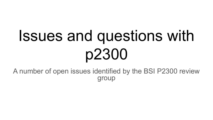# Issues and questions with p2300

A number of open issues identified by the BSI P2300 review group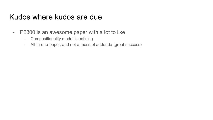#### Kudos where kudos are due

- P2300 is an awesome paper with a lot to like
	- Compositionality model is enticing
	- All-in-one-paper, and not a mess of addenda (great success)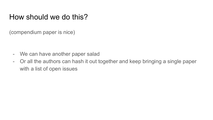#### How should we do this?

(compendium paper is nice)

- We can have another paper salad
- Or all the authors can hash it out together and keep bringing a single paper with a list of open issues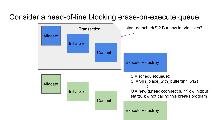#### Consider a head-of-line blocking erase-on-execute queue

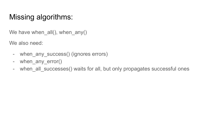# Missing algorithms:

We have when  $all()$ , when  $any()$ 

We also need:

- when any\_success() (ignores errors)
- when any error()
- when\_all\_successes() waits for all, but only propagates successful ones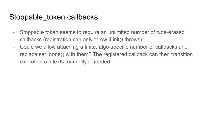#### Stoppable token callbacks

- Stoppable token seems to require an unlimited number of type-erased callbacks (registration can only throw if init() throws)
- Could we allow attaching a finite, algo-specific number of callbacks and replace set done() with them? The registered callback can then transition execution contexts manually if needed.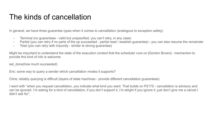#### The kinds of cancellation

In general, we have three guarantee types when it comes to cancellation (analogous to exception safety)

- Terminal (no guarantees valid but unspecified, you can't retry, in any case)
- Partial (you can retry if no parts of the op succeeded partial read / weakish guarantee) you can also resume the remainder
- Total (you can retry with impunity similar to strong guarantee)

Might be important to understand the state of the execution context that the scheduler runs on [Gordon Brown] - mechanism to provide this kind of info is welcome

set\_done(how much succeeded)

Eric: some way to query a sender which cancellation modes it supports?

Chris: reliably querying is difficult (layers of state machines - provide different cancellation guarantees)

I went with "when you request cancellation, you indicate what kind you want. That builds on P2175 - cancellation is advisory and can be ignored. I'm asking for a kind of cancellation, if you don't support it, I'm alright if you ignore it, just don't give me a cancel I didn't ask for".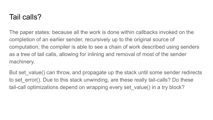#### Tail calls?

The paper states: because all the work is done within callbacks invoked on the completion of an earlier sender, recursively up to the original source of computation, the compiler is able to see a chain of work described using senders as a tree of tail calls, allowing for inlining and removal of most of the sender machinery.

But set\_value() can throw, and propagate up the stack until some sender redirects to set error(). Due to this stack unwinding, are these really tail-calls? Do these tail-call optimizations depend on wrapping every set value() in a try block?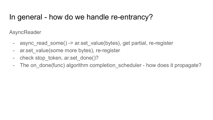#### In general - how do we handle re-entrancy?

**AsyncReader** 

- async\_read\_some() -> ar.set\_value(bytes), get partial, re-register
- ar.set value(some more bytes), re-register
- check stop token, ar.set done()?
- The on\_done(func) algorithm completion\_scheduler how does it propagate?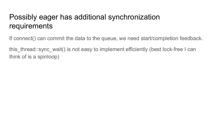# Possibly eager has additional synchronization requirements

If connect() can commit the data to the queue, we need start/completion feedback.

this thread::sync wait() is not easy to implement efficiently (best lock-free I can think of is a spinloop)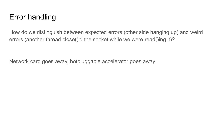## Error handling

How do we distinguish between expected errors (other side hanging up) and weird errors (another thread close()'d the socket while we were read()ing it)?

Network card goes away, hotpluggable accelerator goes away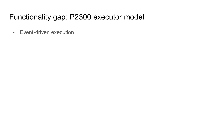#### Functionality gap: P2300 executor model

- Event-driven execution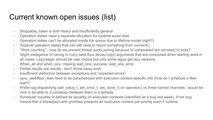# Current known open issues (list)

- Stoppable token is both heavy and insufficiently general
- Operation states need a separate allocation for runtime-sized data
- Operation states can't be allocated inside the queue due to lifetime model (right?)
- Toplevel operation states that *can* still need to return something from connect()
- "Work counting" how do we prevent thread pools joining because of composited but not start()'d work?
- Slight inelegance in having to curry (and thus decay-copy) arguments that are consumed when starting work in all cases. Lazy/eager should be user choice but only some algos get lazy versions.
- When all and when any: missing wait one success, wait one error
- Partial results are results don't throw away work.
- Insufficient distinction between exceptions and "expected errors"
- sync\_wait/fiber\_wait need to be parametrized with *execution context*-specific info (how do I schedule a fiber wait?)
- Prefer tag-dispatching (set value t, set error t, set done t) on operator() vs three named channels would be nice to be able to *if constexpr* between them in a lambda.
- Scheduler equality is defined as equality on execution contexts (Identified as a bug last week). If not bug, means that a threadpool with priorities presents an execution context per-priority even if runtime.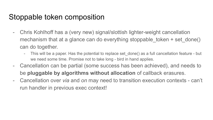#### Stoppable token composition

- Chris Kohlhoff has a (very new) signal/slottish lighter-weight cancellation mechanism that at a glance can do everything stoppable token + set done() can do together.
	- This will be a paper. Has the potential to replace set done() as a full cancellation feature but we need some time. Promise not to take long - bird in hand applies.
- Cancellation can be partial (some success has been achieved), and needs to be **pluggable by algorithms without allocation** of callback erasures.
- Cancellation over *via* and *on* may need to transition execution contexts can't run handler in previous exec context!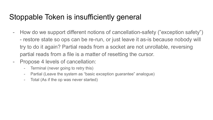## Stoppable Token is insufficiently general

- How do we support different notions of cancellation-safety ("exception safety") - restore state so ops can be re-run, or just leave it as-is because nobody will try to do it again? Partial reads from a socket are not unrollable, reversing partial reads from a file is a matter of resetting the cursor.
- Propose 4 levels of cancellation:
	- Terminal (never going to retry this)
	- Partial (Leave the system as "basic exception guarantee" analogue)
	- Total (As if the op was never started)